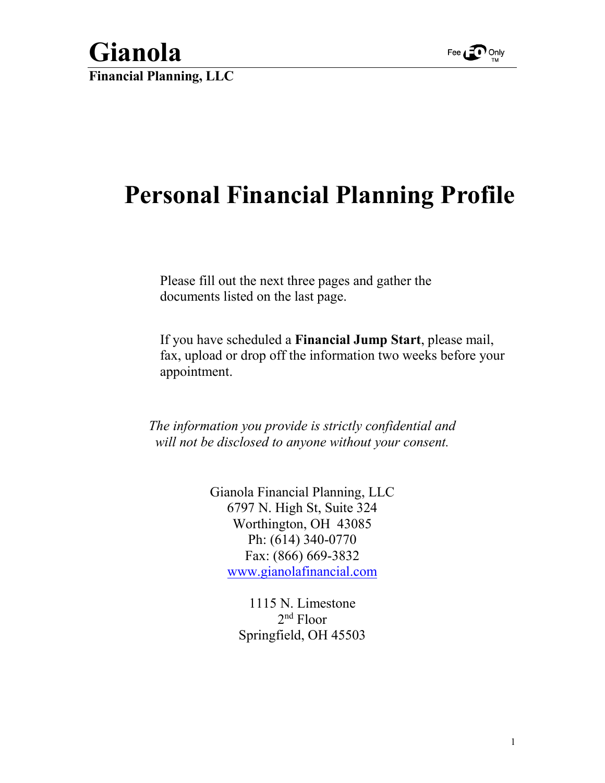

**Gianola Financial Planning, LLC**

## **Personal Financial Planning Profile**

Please fill out the next three pages and gather the documents listed on the last page.

If you have scheduled a **Financial Jump Start**, please mail, fax, upload or drop off the information two weeks before your appointment.

*The information you provide is strictly confidential and will not be disclosed to anyone without your consent.*

> Gianola Financial Planning, LLC 6797 N. High St, Suite 324 Worthington, OH 43085 Ph: (614) 340-0770 Fax: (866) 669-3832 [www.gianolafinancial.com](http://www.gianolafinancial.com/)

> > 1115 N. Limestone 2nd Floor Springfield, OH 45503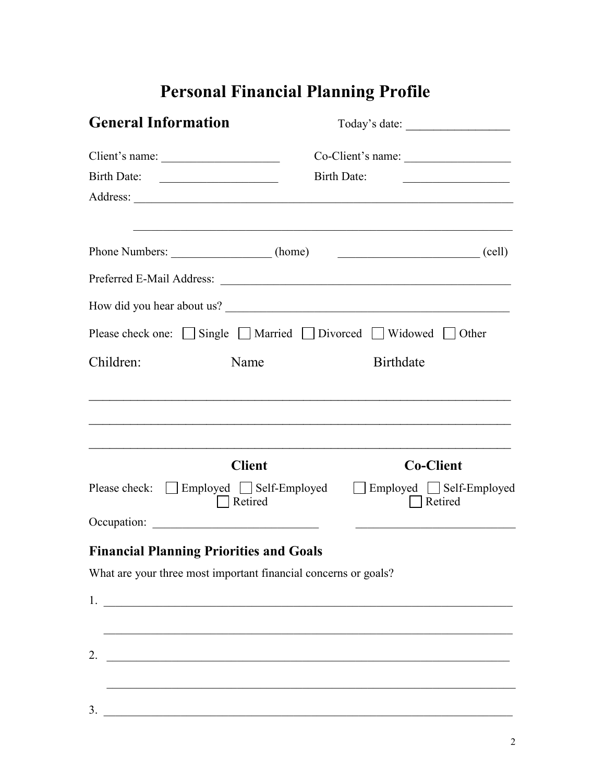## **Personal Financial Planning Profile**

| <b>General Information</b>                                      |                                                          | Today's date:                                                                                              |  |  |
|-----------------------------------------------------------------|----------------------------------------------------------|------------------------------------------------------------------------------------------------------------|--|--|
|                                                                 |                                                          |                                                                                                            |  |  |
|                                                                 |                                                          | <b>Birth Date:</b><br><u> 1989 - Johann Barn, mars ann an t-Amhain</u>                                     |  |  |
|                                                                 |                                                          |                                                                                                            |  |  |
| Phone Numbers: ____________________(home)                       |                                                          | <u> 1989 - Johann Stoff, amerikansk politiker (d. 1989)</u><br>$\qquad \qquad \qquad \qquad \text{(cell)}$ |  |  |
|                                                                 |                                                          |                                                                                                            |  |  |
|                                                                 |                                                          | How did you hear about us?                                                                                 |  |  |
|                                                                 |                                                          | Please check one: $\Box$ Single $\Box$ Married $\Box$ Divorced $\Box$ Widowed $\Box$ Other                 |  |  |
| Children:                                                       | Name                                                     | <b>Birthdate</b>                                                                                           |  |  |
|                                                                 |                                                          |                                                                                                            |  |  |
|                                                                 | <b>Client</b>                                            | <b>Co-Client</b>                                                                                           |  |  |
| Please check: □ Employed □ Self-Employed                        | Retired                                                  | Employed Self-Employed<br>Retired                                                                          |  |  |
|                                                                 |                                                          |                                                                                                            |  |  |
| <b>Financial Planning Priorities and Goals</b>                  |                                                          |                                                                                                            |  |  |
| What are your three most important financial concerns or goals? |                                                          |                                                                                                            |  |  |
|                                                                 |                                                          |                                                                                                            |  |  |
|                                                                 |                                                          |                                                                                                            |  |  |
| 2.                                                              | <u> 1989 - Johann John Stein, marwolaethau (b. 1989)</u> |                                                                                                            |  |  |
|                                                                 |                                                          |                                                                                                            |  |  |
| 3.                                                              |                                                          |                                                                                                            |  |  |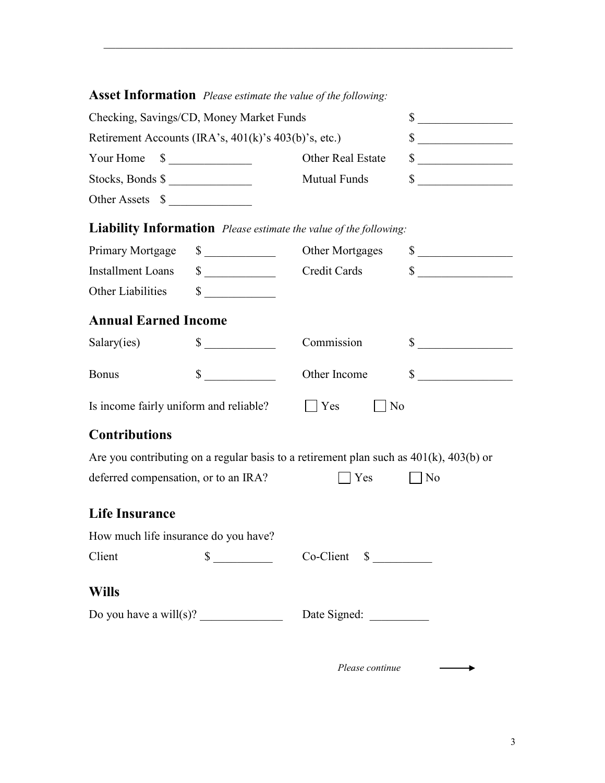|                                                                                                                                                                                                                                                                                                                                                                                                               |                             | <b>ASSET INTOI MATION</b> Please estimate the value of the following:                       |                                                                          |
|---------------------------------------------------------------------------------------------------------------------------------------------------------------------------------------------------------------------------------------------------------------------------------------------------------------------------------------------------------------------------------------------------------------|-----------------------------|---------------------------------------------------------------------------------------------|--------------------------------------------------------------------------|
| Checking, Savings/CD, Money Market Funds                                                                                                                                                                                                                                                                                                                                                                      |                             |                                                                                             | $\frac{\text{S}}{\text{S}}$                                              |
| Retirement Accounts (IRA's, 401(k)'s 403(b)'s, etc.)                                                                                                                                                                                                                                                                                                                                                          |                             |                                                                                             | $\frac{\text{S}}{\text{S}}$                                              |
| Your Home $\quad \text{\_}$                                                                                                                                                                                                                                                                                                                                                                                   |                             | Other Real Estate                                                                           | $\sim$                                                                   |
| Stocks, Bonds \$                                                                                                                                                                                                                                                                                                                                                                                              |                             | <b>Mutual Funds</b>                                                                         | $\sim$                                                                   |
| Other Assets \$                                                                                                                                                                                                                                                                                                                                                                                               |                             |                                                                                             |                                                                          |
|                                                                                                                                                                                                                                                                                                                                                                                                               |                             | <b>Liability Information</b> Please estimate the value of the following:                    |                                                                          |
| Primary Mortgage                                                                                                                                                                                                                                                                                                                                                                                              | $\sim$                      | Other Mortgages                                                                             | $\sim$                                                                   |
| <b>Installment Loans</b>                                                                                                                                                                                                                                                                                                                                                                                      | $\sim$                      | Credit Cards                                                                                | $\qquad \qquad \text{\normalsize $s$} \underline{\qquad \qquad \qquad }$ |
| Other Liabilities                                                                                                                                                                                                                                                                                                                                                                                             | $\sim$                      |                                                                                             |                                                                          |
| <b>Annual Earned Income</b>                                                                                                                                                                                                                                                                                                                                                                                   |                             |                                                                                             |                                                                          |
| Salary(ies)                                                                                                                                                                                                                                                                                                                                                                                                   | $\sim$                      | Commission                                                                                  | $\frac{\text{S}}{\text{S}}$                                              |
| <b>Bonus</b>                                                                                                                                                                                                                                                                                                                                                                                                  | $\sim$                      | Other Income                                                                                | $\sim$                                                                   |
| Is income fairly uniform and reliable?                                                                                                                                                                                                                                                                                                                                                                        |                             | $\blacksquare$ Yes<br>N <sub>o</sub>                                                        |                                                                          |
| <b>Contributions</b>                                                                                                                                                                                                                                                                                                                                                                                          |                             |                                                                                             |                                                                          |
|                                                                                                                                                                                                                                                                                                                                                                                                               |                             | Are you contributing on a regular basis to a retirement plan such as $401(k)$ , $403(b)$ or |                                                                          |
| deferred compensation, or to an IRA?                                                                                                                                                                                                                                                                                                                                                                          |                             | $\blacksquare$ Yes                                                                          | $\vert$   No                                                             |
| <b>Life Insurance</b>                                                                                                                                                                                                                                                                                                                                                                                         |                             |                                                                                             |                                                                          |
| How much life insurance do you have?                                                                                                                                                                                                                                                                                                                                                                          |                             |                                                                                             |                                                                          |
| Client                                                                                                                                                                                                                                                                                                                                                                                                        | $\frac{\text{S}}{\text{S}}$ | $Co-Client \quad $ \_\_$                                                                    |                                                                          |
| <b>Wills</b>                                                                                                                                                                                                                                                                                                                                                                                                  |                             |                                                                                             |                                                                          |
| Do you have a will(s)? $\frac{1}{\sqrt{1-\frac{1}{\sqrt{1-\frac{1}{\sqrt{1-\frac{1}{\sqrt{1-\frac{1}{\sqrt{1-\frac{1}{\sqrt{1-\frac{1}{\sqrt{1-\frac{1}{\sqrt{1-\frac{1}{\sqrt{1-\frac{1}{\sqrt{1-\frac{1}{\sqrt{1-\frac{1}{\sqrt{1-\frac{1}{\sqrt{1-\frac{1}{\sqrt{1-\frac{1}{\sqrt{1-\frac{1}{\sqrt{1-\frac{1}{\sqrt{1-\frac{1}{\sqrt{1-\frac{1}{\sqrt{1-\frac{1}{\sqrt{1-\frac{1}{\sqrt{1-\frac{1}{\sqrt{$ |                             |                                                                                             |                                                                          |
|                                                                                                                                                                                                                                                                                                                                                                                                               |                             |                                                                                             |                                                                          |
|                                                                                                                                                                                                                                                                                                                                                                                                               |                             | Please continue                                                                             |                                                                          |

 $\overline{\phantom{a}}$  ,  $\overline{\phantom{a}}$  ,  $\overline{\phantom{a}}$  ,  $\overline{\phantom{a}}$  ,  $\overline{\phantom{a}}$  ,  $\overline{\phantom{a}}$  ,  $\overline{\phantom{a}}$  ,  $\overline{\phantom{a}}$  ,  $\overline{\phantom{a}}$  ,  $\overline{\phantom{a}}$  ,  $\overline{\phantom{a}}$  ,  $\overline{\phantom{a}}$  ,  $\overline{\phantom{a}}$  ,  $\overline{\phantom{a}}$  ,  $\overline{\phantom{a}}$  ,  $\overline{\phantom{a}}$ 

## **Asset Information** *Please estimate the value of the following:*